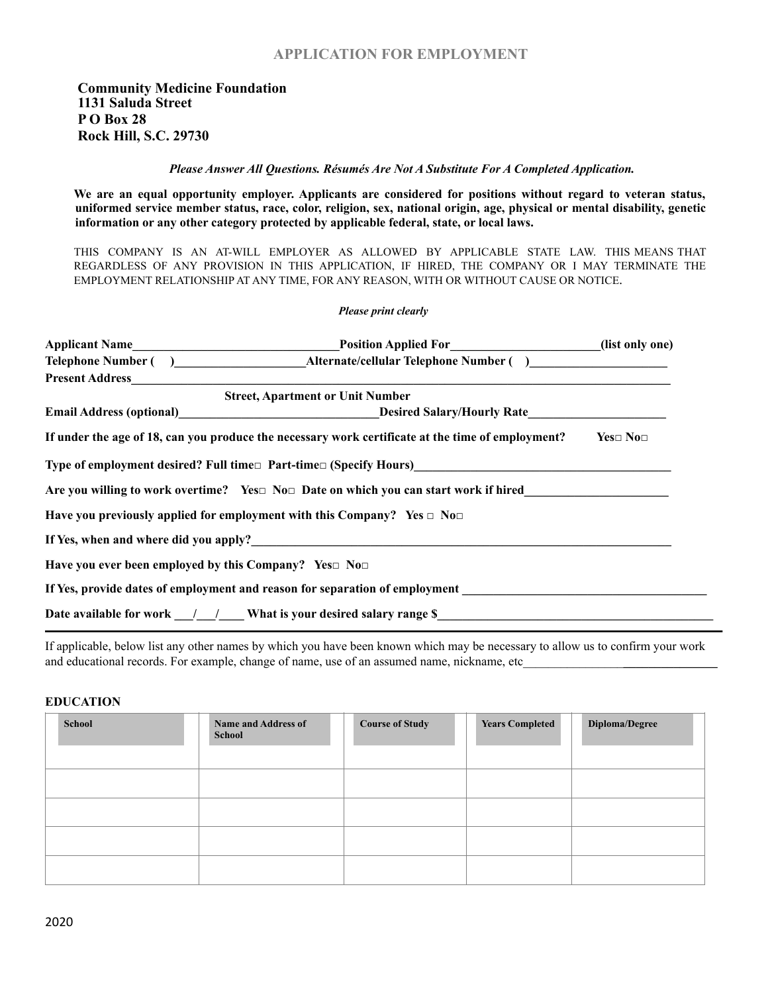## **APPLICATION FOR EMPLOYMENT**

*Please Answer All Questions. Résumés Are Not A Substitute For A Completed Application.*

**We are an equal opportunity employer. Applicants are considered for positions without regard to veteran status, uniformed service member status, race, color, religion, sex, national origin, age, physical or mental disability, genetic information or any other category protected by applicable federal, state, or local laws.** 

THIS COMPANY IS AN AT-WILL EMPLOYER AS ALLOWED BY APPLICABLE STATE LAW. THIS MEANS THAT REGARDLESS OF ANY PROVISION IN THIS APPLICATION, IF HIRED, THE COMPANY OR I MAY TERMINATE THE EMPLOYMENT RELATIONSHIP AT ANY TIME, FOR ANY REASON, WITH OR WITHOUT CAUSE OR NOTICE.

#### *Please print clearly*

| Position Applied For_______________________(list only one)                                                                                     |                    |
|------------------------------------------------------------------------------------------------------------------------------------------------|--------------------|
|                                                                                                                                                |                    |
|                                                                                                                                                |                    |
| <b>Street, Apartment or Unit Number</b>                                                                                                        |                    |
| <b>Email Address (optional)</b> Desired Salary/Hourly Rate                                                                                     |                    |
| If under the age of 18, can you produce the necessary work certificate at the time of employment?                                              | $Yes \Box No \Box$ |
| Type of employment desired? Full time□ Part-time□ (Specify Hours)<br>The contract of employment desired? Full time□ Part-time□ (Specify Hours) |                    |
| Are you willing to work overtime? Yes $\Box$ No $\Box$ Date on which you can start work if hired                                               |                    |
| Have you previously applied for employment with this Company? Yes $\Box$ No $\Box$                                                             |                    |
| If Yes, when and where did you apply?                                                                                                          |                    |
| Have you ever been employed by this Company? Yes $\square$ No $\square$                                                                        |                    |
| If Yes, provide dates of employment and reason for separation of employment                                                                    |                    |
| Date available for work $\frac{1}{2}$ / What is your desired salary range \$                                                                   |                    |

If applicable, below list any other names by which you have been known which may be necessary to allow us to confirm your work and educational records. For example, change of name, use of an assumed name, nickname, etc

#### **EDUCATION**

| Name and Address of<br>School | <b>Course of Study</b> | <b>Years Completed</b> | Diploma/Degree |
|-------------------------------|------------------------|------------------------|----------------|
|                               |                        |                        |                |
|                               |                        |                        |                |
|                               |                        |                        |                |
|                               |                        |                        |                |
|                               |                        |                        |                |
|                               |                        |                        |                |
|                               |                        |                        |                |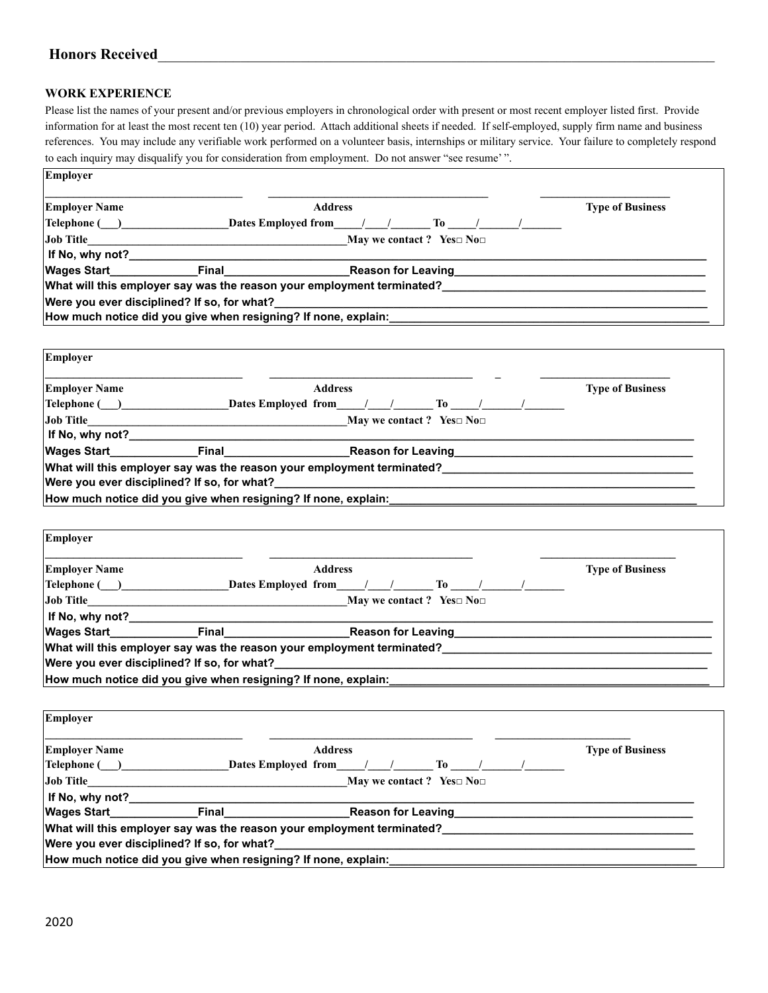# **Honors Received**\_\_\_\_\_\_\_\_\_\_\_\_\_\_\_\_\_\_\_\_\_\_\_\_\_\_\_\_\_\_\_\_\_\_\_\_\_\_\_\_\_\_\_\_\_\_\_\_\_\_\_\_\_\_\_\_\_\_\_\_\_\_\_\_\_\_\_\_\_\_\_\_\_\_

#### **WORK EXPERIENCE**

Please list the names of your present and/or previous employers in chronological order with present or most recent employer listed first. Provide information for at least the most recent ten (10) year period. Attach additional sheets if needed. If self-employed, supply firm name and business references. You may include any verifiable work performed on a volunteer basis, internships or military service. Your failure to completely respond to each inquiry may disqualify you for consideration from employment. Do not answer "see resume' ".

| <b>Employer Name</b> |                                                                | <b>Address</b>                                                                                                                                                                                                                 | <b>Type of Business</b> |
|----------------------|----------------------------------------------------------------|--------------------------------------------------------------------------------------------------------------------------------------------------------------------------------------------------------------------------------|-------------------------|
| Telephone ( )        | <b>Dates Employed from</b>                                     | To the set of the set of the set of the set of the set of the set of the set of the set of the set of the set of the set of the set of the set of the set of the set of the set of the set of the set of the set of the set of |                         |
| <b>Job Title</b>     |                                                                | May we contact ? Yes $\square$ No $\square$                                                                                                                                                                                    |                         |
| If No, why not?      |                                                                |                                                                                                                                                                                                                                |                         |
| <b>Wages Start</b>   | Final                                                          | <b>Reason for Leaving</b>                                                                                                                                                                                                      |                         |
|                      |                                                                | What will this employer say was the reason your employment terminated?                                                                                                                                                         |                         |
|                      |                                                                |                                                                                                                                                                                                                                |                         |
|                      | Were you ever disciplined? If so, for what?                    |                                                                                                                                                                                                                                |                         |
|                      |                                                                |                                                                                                                                                                                                                                |                         |
|                      | How much notice did you give when resigning? If none, explain: |                                                                                                                                                                                                                                |                         |
| Employer             |                                                                |                                                                                                                                                                                                                                |                         |
| <b>Employer Name</b> |                                                                | <b>Address</b>                                                                                                                                                                                                                 | <b>Type of Business</b> |

| Job Title                                   | May we contact ? Yes $\square$ No $\square$                    |                                                                        |  |  |  |  |
|---------------------------------------------|----------------------------------------------------------------|------------------------------------------------------------------------|--|--|--|--|
| If No, why not?                             |                                                                |                                                                        |  |  |  |  |
| <b>Wages Start</b>                          | Final                                                          | <b>Reason for Leaving</b>                                              |  |  |  |  |
|                                             |                                                                | What will this employer say was the reason your employment terminated? |  |  |  |  |
| Were you ever disciplined? If so, for what? |                                                                |                                                                        |  |  |  |  |
|                                             | How much notice did you give when resigning? If none, explain: |                                                                        |  |  |  |  |

| Employer             |                                                                |                                                                                                                                                                                                                                      |  |                         |
|----------------------|----------------------------------------------------------------|--------------------------------------------------------------------------------------------------------------------------------------------------------------------------------------------------------------------------------------|--|-------------------------|
| <b>Employer Name</b> |                                                                | <b>Address</b>                                                                                                                                                                                                                       |  | <b>Type of Business</b> |
| Telephone ( )        |                                                                | Dates Employed from / / To /                                                                                                                                                                                                         |  |                         |
| <b>Job Title</b>     |                                                                | May we contact ? Yes $\square$ No $\square$                                                                                                                                                                                          |  |                         |
| If No, why not?      |                                                                |                                                                                                                                                                                                                                      |  |                         |
|                      |                                                                | <b>Nages Start Transform Control Control Control Control Control Control Control Control Control Control Control Control Control Control Control Control Control Control Control Control Control Control Control Control Control</b> |  |                         |
|                      |                                                                | What will this employer say was the reason your employment terminated?                                                                                                                                                               |  |                         |
|                      | Were you ever disciplined? If so, for what?                    |                                                                                                                                                                                                                                      |  |                         |
|                      | How much notice did you give when resigning? If none, explain: |                                                                                                                                                                                                                                      |  |                         |
|                      |                                                                |                                                                                                                                                                                                                                      |  |                         |

| Employer               |                                                                |                                                                        |                         |
|------------------------|----------------------------------------------------------------|------------------------------------------------------------------------|-------------------------|
| <b>Employer Name</b>   |                                                                | <b>Address</b>                                                         | <b>Type of Business</b> |
| $\text{Telephone}$ ( ) | Dates Employed from                                            | $\mathbf{To}$ /                                                        |                         |
| <b>Job Title</b>       |                                                                | May we contact ? Yes $\square$ No $\square$                            |                         |
| If No, why not?_       |                                                                |                                                                        |                         |
| <b>Wages Start</b>     | Final                                                          | <b>Reason for Leaving</b>                                              |                         |
|                        |                                                                | What will this employer say was the reason your employment terminated? |                         |
|                        | Were you ever disciplined? If so, for what?                    |                                                                        |                         |
|                        | How much notice did you give when resigning? If none, explain: |                                                                        |                         |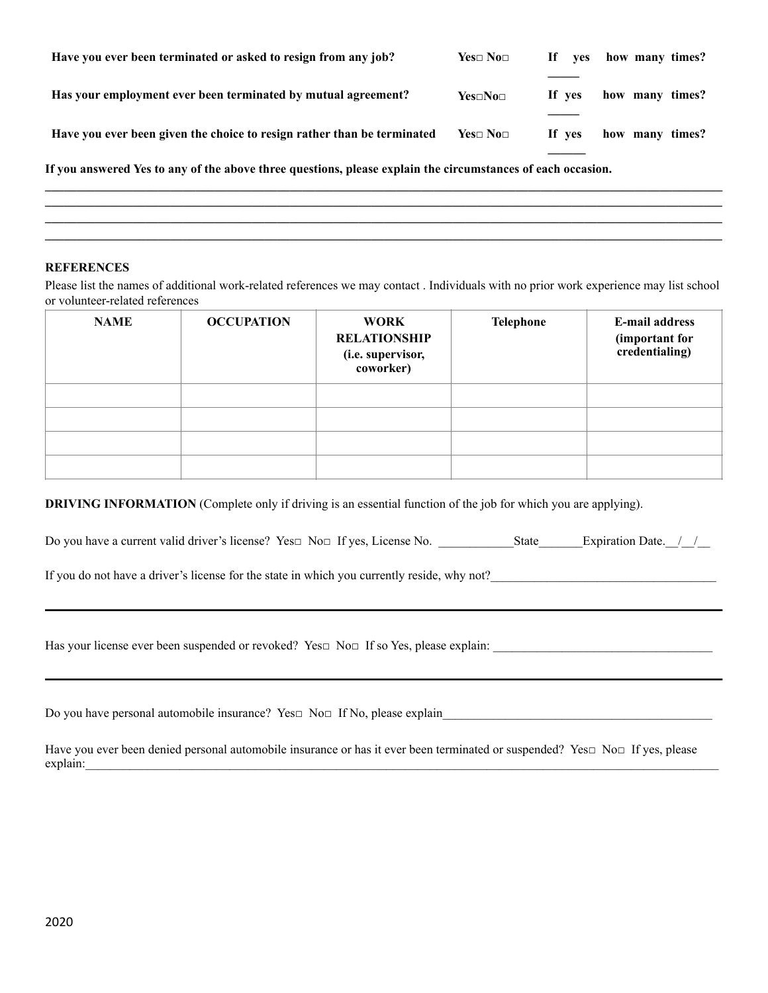| Have you ever been terminated or asked to resign from any job?                                              | $Yes \Box No \Box$ | If If<br>ves | how many times? |
|-------------------------------------------------------------------------------------------------------------|--------------------|--------------|-----------------|
| Has your employment ever been terminated by mutual agreement?                                               | $Yes \Box No \Box$ | If yes       | how many times? |
| Have you ever been given the choice to resign rather than be terminated                                     | $Yes \Box No \Box$ | If yes       | how many times? |
| If you answered Yes to any of the above three questions, please explain the circumstances of each occasion. |                    |              |                 |

#### **REFERENCES**

Please list the names of additional work-related references we may contact . Individuals with no prior work experience may list school or volunteer-related references

 $\mathcal{L} = \{ \mathcal{L} = \{ \mathcal{L} = \{ \mathcal{L} = \{ \mathcal{L} = \{ \mathcal{L} = \{ \mathcal{L} = \{ \mathcal{L} = \{ \mathcal{L} = \{ \mathcal{L} = \{ \mathcal{L} = \{ \mathcal{L} = \{ \mathcal{L} = \{ \mathcal{L} = \{ \mathcal{L} = \{ \mathcal{L} = \{ \mathcal{L} = \{ \mathcal{L} = \{ \mathcal{L} = \{ \mathcal{L} = \{ \mathcal{L} = \{ \mathcal{L} = \{ \mathcal{L} = \{ \mathcal{L} = \{ \mathcal{$ 

 $\mathcal{L}_\mathcal{L} = \mathcal{L}_\mathcal{L}$ 

| <b>NAME</b> | <b>OCCUPATION</b> | <b>WORK</b><br><b>RELATIONSHIP</b><br>(i.e. supervisor,<br>coworker) | <b>Telephone</b> | E-mail address<br>(important for<br>credentialing) |
|-------------|-------------------|----------------------------------------------------------------------|------------------|----------------------------------------------------|
|             |                   |                                                                      |                  |                                                    |
|             |                   |                                                                      |                  |                                                    |
|             |                   |                                                                      |                  |                                                    |
|             |                   |                                                                      |                  |                                                    |

**DRIVING INFORMATION** (Complete only if driving is an essential function of the job for which you are applying).

Do you have a current valid driver's license? Yes□ No□ If yes, License No. \_\_\_\_\_\_\_\_\_\_\_\_State\_\_\_\_\_\_\_Expiration Date.\_\_/\_\_/\_\_

If you do not have a driver's license for the state in which you currently reside, why not?

Has your license ever been suspended or revoked? Yes□ No□ If so Yes, please explain: \_\_\_\_\_\_\_\_\_\_\_\_\_\_\_\_\_\_\_\_\_\_\_\_\_\_\_\_\_\_\_\_

Do you have personal automobile insurance? Yes□ No□ If No, please explain\_\_\_\_\_\_\_\_\_\_\_\_\_\_\_\_\_\_\_\_\_\_\_\_\_\_\_\_\_\_\_\_\_\_\_\_\_\_\_\_\_\_\_

Have you ever been denied personal automobile insurance or has it ever been terminated or suspended? Yes□ No□ If yes, please explain: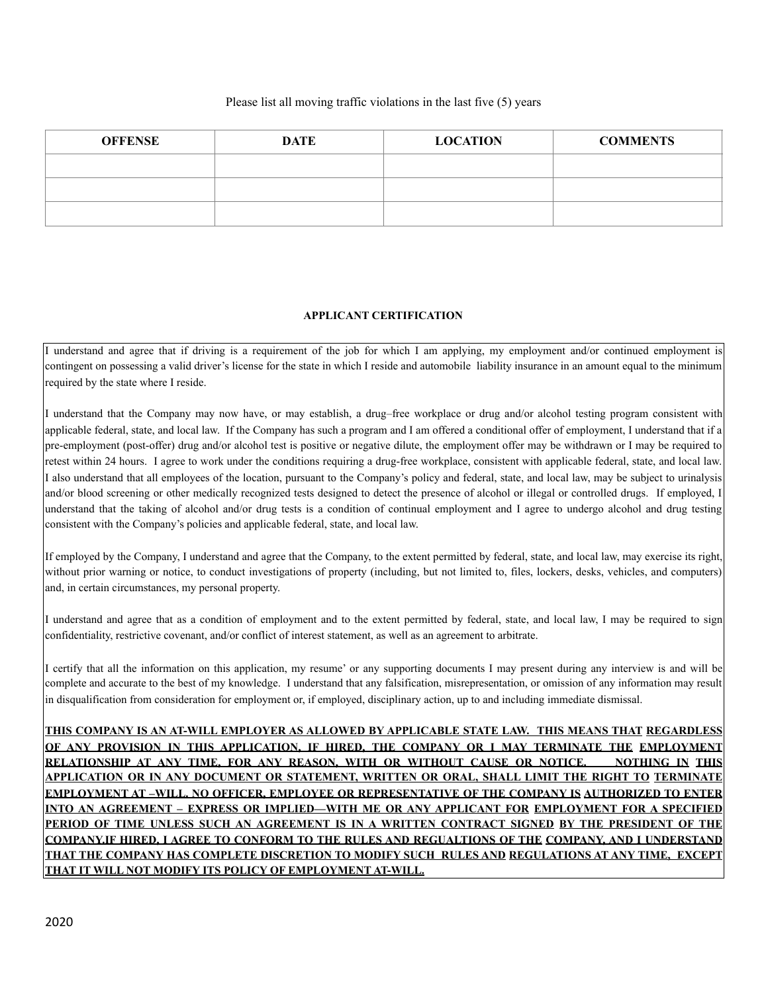#### Please list all moving traffic violations in the last five (5) years

| <b>OFFENSE</b> | <b>DATE</b> | <b>LOCATION</b> | <b>COMMENTS</b> |
|----------------|-------------|-----------------|-----------------|
|                |             |                 |                 |
|                |             |                 |                 |
|                |             |                 |                 |

### **APPLICANT CERTIFICATION**

I understand and agree that if driving is a requirement of the job for which I am applying, my employment and/or continued employment is contingent on possessing a valid driver's license for the state in which I reside and automobile liability insurance in an amount equal to the minimum required by the state where I reside.

I understand that the Company may now have, or may establish, a drug–free workplace or drug and/or alcohol testing program consistent with applicable federal, state, and local law. If the Company has such a program and I am offered a conditional offer of employment, I understand that if a pre-employment (post-offer) drug and/or alcohol test is positive or negative dilute, the employment offer may be withdrawn or I may be required to retest within 24 hours. I agree to work under the conditions requiring a drug-free workplace, consistent with applicable federal, state, and local law. I also understand that all employees of the location, pursuant to the Company's policy and federal, state, and local law, may be subject to urinalysis and/or blood screening or other medically recognized tests designed to detect the presence of alcohol or illegal or controlled drugs. If employed, I understand that the taking of alcohol and/or drug tests is a condition of continual employment and I agree to undergo alcohol and drug testing consistent with the Company's policies and applicable federal, state, and local law.

If employed by the Company, I understand and agree that the Company, to the extent permitted by federal, state, and local law, may exercise its right, without prior warning or notice, to conduct investigations of property (including, but not limited to, files, lockers, desks, vehicles, and computers) and, in certain circumstances, my personal property.

I understand and agree that as a condition of employment and to the extent permitted by federal, state, and local law, I may be required to sign confidentiality, restrictive covenant, and/or conflict of interest statement, as well as an agreement to arbitrate.

I certify that all the information on this application, my resume' or any supporting documents I may present during any interview is and will be complete and accurate to the best of my knowledge. I understand that any falsification, misrepresentation, or omission of any information may result in disqualification from consideration for employment or, if employed, disciplinary action, up to and including immediate dismissal.

**THIS COMPANY IS AN AT-WILL EMPLOYER AS ALLOWED BY APPLICABLE STATE LAW. THIS MEANS THAT REGARDLESS OF ANY PROVISION IN THIS APPLICATION, IF HIRED, THE COMPANY OR I MAY TERMINATE THE EMPLOYMENT RELATIONSHIP AT ANY TIME, FOR ANY REASON, WITH OR WITHOUT CAUSE OR NOTICE. NOTHING IN THIS APPLICATION OR IN ANY DOCUMENT OR STATEMENT, WRITTEN OR ORAL, SHALL LIMIT THE RIGHT TO TERMINATE EMPLOYMENT AT –WILL. NO OFFICER, EMPLOYEE OR REPRESENTATIVE OF THE COMPANY IS AUTHORIZED TO ENTER INTO AN AGREEMENT – EXPRESS OR IMPLIED—WITH ME OR ANY APPLICANT FOR EMPLOYMENT FOR A SPECIFIED PERIOD OF TIME UNLESS SUCH AN AGREEMENT IS IN A WRITTEN CONTRACT SIGNED BY THE PRESIDENT OF THE COMPANY.IF HIRED, I AGREE TO CONFORM TO THE RULES AND REGUALTIONS OF THE COMPANY, AND I UNDERSTAND THAT THE COMPANY HAS COMPLETE DISCRETION TO MODIFY SUCH RULES AND REGULATIONS AT ANY TIME, EXCEPT THAT IT WILL NOT MODIFY ITS POLICY OF EMPLOYMENT AT-WILL.**